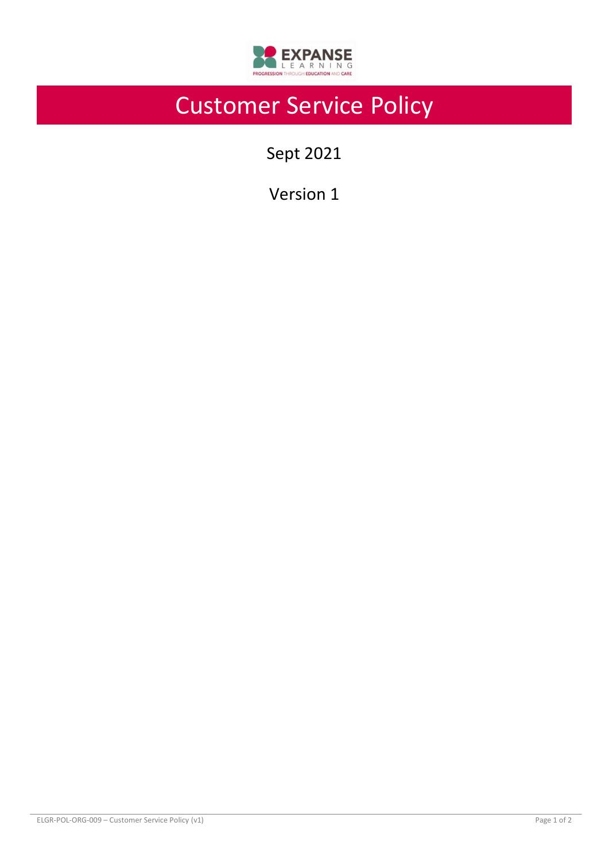

# Customer Service Policy

Sept 2021

Version 1